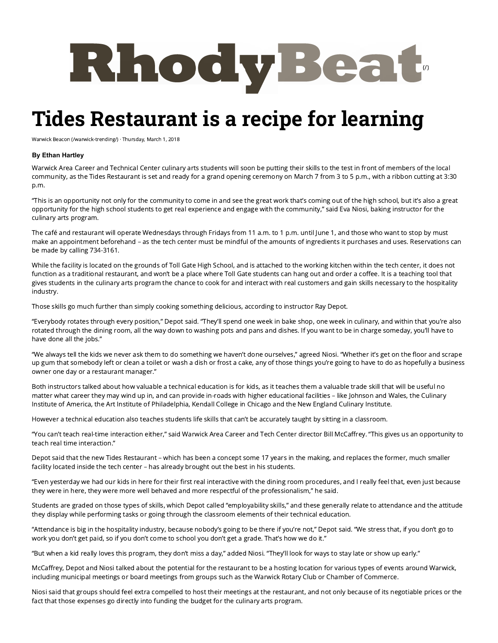

## **Tides Restaurant is a recipe for learning**

Warwick Beacon [\(/warwick-trending/\)](http://rhodybeat.com/warwick-trending/) · Thursday, March 1, 2018

## **By Ethan Hartley**

Warwick Area Career and Technical Center culinary arts students will soon be putting their skills to the test in front of members of the local community, as the Tides Restaurant is set and ready for a grand opening ceremony on March 7 from 3 to 5 p.m., with a ribbon cutting at 3:30 p.m.

"This is an opportunity not only for the community to come in and see the great work that's coming out of the high school, but it's also a great opportunity for the high school students to get real experience and engage with the community," said Eva Niosi, baking instructor for the culinary arts program.

The café and restaurant will operate Wednesdays through Fridays from 11 a.m. to 1 p.m. until June 1, and those who want to stop by must make an appointment beforehand – as the tech center must be mindful of the amounts of ingredients it purchases and uses. Reservations can be made by calling 734-3161.

While the facility is located on the grounds of Toll Gate High School, and is attached to the working kitchen within the tech center, it does not function as a traditional restaurant, and won't be a place where Toll Gate students can hang out and order a coffee. It is a teaching tool that gives students in the culinary arts program the chance to cook for and interact with real customers and gain skills necessary to the hospitality industry.

Those skills go much further than simply cooking something delicious, according to instructor Ray Depot.

"Everybody rotates through every position," Depot said. "They'll spend one week in bake shop, one week in culinary, and within that you're also rotated through the dining room, all the way down to washing pots and pans and dishes. If you want to be in charge someday, you'll have to have done all the jobs."

"We always tell the kids we never ask them to do something we haven't done ourselves," agreed Niosi. "Whether it's get on the floor and scrape up gum that somebody left or clean a toilet or wash a dish or frost a cake, any of those things you're going to have to do as hopefully a business owner one day or a restaurant manager."

Both instructors talked about how valuable a technical education is for kids, as it teaches them a valuable trade skill that will be useful no matter what career they may wind up in, and can provide in-roads with higher educational facilities – like Johnson and Wales, the Culinary Institute of America, the Art Institute of Philadelphia, Kendall College in Chicago and the New England Culinary Institute.

However a technical education also teaches students life skills that can't be accurately taught by sitting in a classroom.

"You can't teach real-time interaction either," said Warwick Area Career and Tech Center director Bill McCaffrey. "This gives us an opportunity to teach real time interaction."

Depot said that the new Tides Restaurant – which has been a concept some 17 years in the making, and replaces the former, much smaller facility located inside the tech center – has already brought out the best in his students.

"Even yesterday we had our kids in here for their first real interactive with the dining room procedures, and I really feel that, even just because they were in here, they were more well behaved and more respectful of the professionalism," he said.

Students are graded on those types of skills, which Depot called "employability skills," and these generally relate to attendance and the attitude they display while performing tasks or going through the classroom elements of their technical education.

"Attendance is big in the hospitality industry, because nobody's going to be there if you're not," Depot said. "We stress that, if you don't go to work you don't get paid, so if you don't come to school you don't get a grade. That's how we do it."

"But when a kid really loves this program, they don't miss a day," added Niosi. "They'll look for ways to stay late or show up early."

McCaffrey, Depot and Niosi talked about the potential for the restaurant to be a hosting location for various types of events around Warwick, including municipal meetings or board meetings from groups such as the Warwick Rotary Club or Chamber of Commerce.

Niosi said that groups should feel extra compelled to host their meetings at the restaurant, and not only because of its negotiable prices or the fact that those expenses go directly into funding the budget for the culinary arts program.